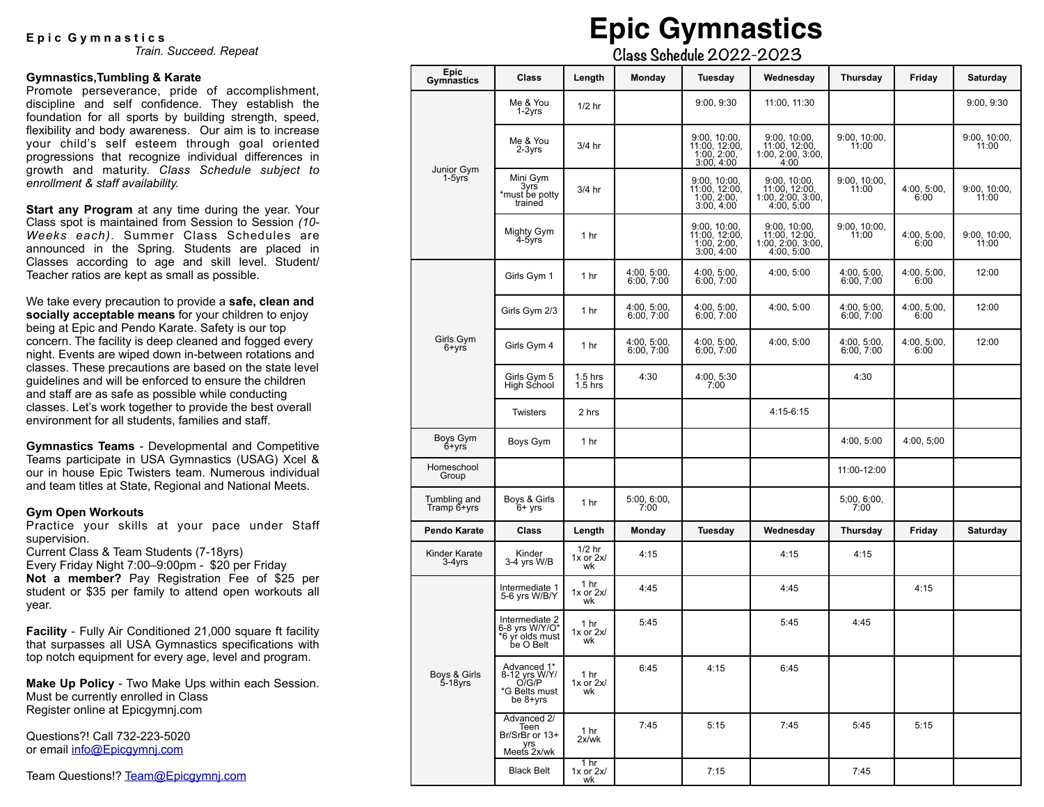### E p i c G y m n a s t i c s

*Train. Succeed. Repeat*

#### **Gymnastics,Tumbling & Karate**

Promote perseverance, pride of accomplishment, discipline and self confidence. They establish the foundation for all sports by building strength, speed, flexibility and body awareness. Our aim is to increase your child's self esteem through goal oriented progressions that recognize individual differences in growth and maturity. *Class Schedule subject to enrollment & staff availability.*

**Start any Program** at any time during the year. Your Class spot is maintained from Session to Session *(10- Weeks each)*. Summer Class Schedules are announced in the Spring. Students are placed in Classes according to age and skill level. Student/ Teacher ratios are kept as small as possible.

We take every precaution to provide a **safe, clean and socially acceptable means** for your children to enjoy being at Epic and Pendo Karate. Safety is our top concern. The facility is deep cleaned and fogged every night. Events are wiped down in-between rotations and classes. These precautions are based on the state level guidelines and will be enforced to ensure the children and staff are as safe as possible while conducting classes. Let's work together to provide the best overall environment for all students, families and staff.

**Gymnastics Teams** - Developmental and Competitive Teams participate in USA Gymnastics (USAG) Xcel & our in house Epic Twisters team. Numerous individual and team titles at State, Regional and National Meets.

#### **Gym Open Workouts**

Practice your skills at your pace under Staff supervision.

Current Class & Team Students (7-18yrs) Every Friday Night 7:00–9:00pm - \$20 per Friday **Not a member?** Pay Registration Fee of \$25 per student or \$35 per family to attend open workouts all year.

**Facility** - Fully Air Conditioned 21,000 square ft facility that surpasses all USA Gymnastics specifications with top notch equipment for every age, level and program.

**Make Up Policy** - Two Make Ups within each Session. Must be currently enrolled in Class Register online at Epicgymnj.com

Questions?! Call 732-223-5020 or email [info@Epicgymnj.com](mailto:info@Epicgymnj.com)

Team Questions!? [Team@Epicgymnj.com](mailto:team@Epicgymnj.com)

# **Epic Gymnastics**

 **Class Schedule 2022-2023** 

| <b>Epic</b><br>Gymnastics    | <b>Class</b>                                                           | Length                          | Monday                    | Tuesday                                                    | Wednesday                                                           | Thursday                  | Friday              | Saturday              |
|------------------------------|------------------------------------------------------------------------|---------------------------------|---------------------------|------------------------------------------------------------|---------------------------------------------------------------------|---------------------------|---------------------|-----------------------|
| Junior Gym<br>$1-5yrs$       | Me & You<br>$1-2yrs$                                                   | $1/2$ hr                        |                           | 9:00, 9:30                                                 | 11:00, 11:30                                                        |                           |                     | 9:00, 9:30            |
|                              | Me & You<br>$2-3yrs$                                                   | 3/4 hr                          |                           | 9:00, 10:00,<br>11:00, 12:00,<br>1:00, 2:00,<br>3:00, 4:00 | 9:00, 10:00,<br>11:00, 12:00,<br>1:00, 2:00, 3:00,<br>4:00          | 9:00, 10:00,<br>11:00     |                     | 9:00, 10:00,<br>11:00 |
|                              | Mini Gym<br>3yrs <sup>-</sup><br>*must be potty<br>trained             | 3/4 hr                          |                           | 9:00, 10:00,<br>11.00, 12.00, 1.00, 2.00, 3.00, 4.00       | 9:00, 10:00,<br>11:00, 12:00, 1:00, 1:00, 2:00, 3:00,<br>4:00, 5:00 | 9:00, 10:00,<br>11:00     | 4:00, 5:00,<br>6:00 | 9:00, 10:00,<br>11:00 |
|                              | Mighty Gym<br>4-5yrs                                                   | 1 hr                            |                           | 9:00, 10:00,<br>11:00, 12:00,<br>1:00, 2:00,<br>3:00, 4:00 | 9:00. 10:00.<br>11:00, 12:00,<br>1:00, 2:00, 3:00,<br>4:00, 5:00    | 9:00, 10:00,<br>11:00     | 4:00, 5:00,<br>6:00 | 9:00. 10:00.<br>11:00 |
| Girls Gym<br>$6 + yr\dot{s}$ | Girls Gym 1                                                            | 1 hr                            | 4:00, 5:00,<br>6:00, 7:00 | 4:00, 5:00,<br>6:00, 7:00                                  | 4:00, 5:00                                                          | 4:00, 5:00,<br>6:00, 7:00 | 4:00, 5:00,<br>6:00 | 12:00                 |
|                              | Girls Gym 2/3                                                          | 1 <sub>hr</sub>                 | 4:00, 5:00,<br>6:00, 7:00 | 4:00, 5:00,<br>6:00, 7:00                                  | 4:00, 5:00                                                          | 4:00, 5:00,<br>6:00, 7:00 | 4:00, 5:00,<br>6:00 | 12:00                 |
|                              | Girls Gym 4                                                            | 1 hr                            | 4:00, 5:00, 6:00, 7:00    | 4:00, 5:00, 6:00, 7:00                                     | 4:00, 5:00                                                          | 4:00, 5:00, 6:00, 7:00    | 4:00, 5:00,<br>6:00 | 12:00                 |
|                              | Girls Gym 5<br>High School                                             | $1.5$ hrs<br>$1.5$ hrs          | 4:30                      | 4:00, 5:30<br>7:00                                         |                                                                     | 4:30                      |                     |                       |
|                              | <b>Twisters</b>                                                        | 2 hrs                           |                           |                                                            | 4:15-6:15                                                           |                           |                     |                       |
| Boys Gym<br>6+yrs            | Boys Gym                                                               | 1 <sub>hr</sub>                 |                           |                                                            |                                                                     | 4:00, 5:00                | 4:00, 5:00          |                       |
| Homeschool<br>Group          |                                                                        |                                 |                           |                                                            |                                                                     | 11:00-12:00               |                     |                       |
| Tumbling and<br>Tramp 6+yrs  | Boys & Girls<br>$6+$ yrs                                               | 1 <sub>hr</sub>                 | 5:00, 6:00,<br>7:00       |                                                            |                                                                     | 5;00, 6:00,<br>7:00       |                     |                       |
| Pendo Karate                 | <b>Class</b>                                                           | Length                          | Monday                    | Tuesday                                                    | Wednesday                                                           | Thursday                  | Friday              | Saturday              |
| Kinder Karate<br>3-4yrs      | Kinder<br>3-4 yrs W/B                                                  | $1/2$ hr<br>$1x$ or $2x/$<br>wk | 4:15                      |                                                            | 4:15                                                                | 4:15                      |                     |                       |
| Boys & Girls<br>5-18yrs      | Intermediate <sub>1</sub><br>5-6 yrs W/B/Y                             | 1 hr<br>$1x$ or $2x/$<br>wk     | 4:45                      |                                                            | 4:45                                                                |                           | 4:15                |                       |
|                              | Intermediate 2<br>6-8 yrs W/Y/O*<br>'6 yŕ olds must<br>be O Belt       | 1 hr<br>$1x$ or $2x/$<br>wk     | 5:45                      |                                                            | 5:45                                                                | 4:45                      |                     |                       |
|                              | Advanced 1*<br>8-12 yrs W/Y/<br>O/G/P<br>*G Belts must<br>be $8 + yrs$ | 1 hr<br>$1x$ or $2x/$<br>wk     | 6:45                      | 4:15                                                       | 6:45                                                                |                           |                     |                       |
|                              | Advanced 2/<br>Teen<br>Br/SrBr or 13+<br>yrs<br>Meets 2x/wk            | 1 hr<br>2x/wk                   | 7:45                      | 5:15                                                       | 7:45                                                                | 5:45                      | 5:15                |                       |
|                              | <b>Black Belt</b>                                                      | 1 hr<br>$1x$ or $2x/$<br>wk     |                           | 7:15                                                       |                                                                     | 7:45                      |                     |                       |